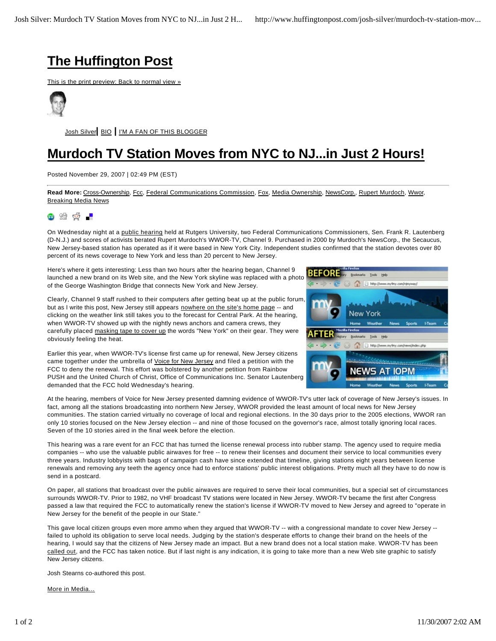## **The Huffington Post**

This is the print preview: Back to normal view »



Josh Silver**|** BIO **|** I'M A FAN OF THIS BLOGGER

## **Murdoch TV Station Moves from NYC to NJ...in Just 2 Hours!**

Posted November 29, 2007 | 02:49 PM (EST)

**Read More:** Cross-Ownership, Fcc, Federal Communications Commission, Fox, Media Ownership, NewsCorp., Rupert Murdoch, Wwor, Breaking Media News



On Wednesday night at a public hearing held at Rutgers University, two Federal Communications Commissioners, Sen. Frank R. Lautenberg (D-N.J.) and scores of activists berated Rupert Murdoch's WWOR-TV, Channel 9. Purchased in 2000 by Murdoch's NewsCorp., the Secaucus, New Jersey-based station has operated as if it were based in New York City. Independent studies confirmed that the station devotes over 80 percent of its news coverage to New York and less than 20 percent to New Jersey.

Here's where it gets interesting: Less than two hours after the hearing began, Channel 9 launched a new brand on its Web site, and the New York skyline was replaced with a photo of the George Washington Bridge that connects New York and New Jersey.

Clearly, Channel 9 staff rushed to their computers after getting beat up at the public forum, but as I write this post, New Jersey still appears nowhere on the site's home page -- and clicking on the weather link still takes you to the forecast for Central Park. At the hearing, when WWOR-TV showed up with the nightly news anchors and camera crews, they carefully placed masking tape to cover up the words "New York" on their gear. They were obviously feeling the heat.

**New York Tools** 合 **Fi** Notech view nihm **NEWS AT IOPM** 

Tools Help

줎 **B** http://w

Earlier this year, when WWOR-TV's license first came up for renewal, New Jersey citizens came together under the umbrella of Voice for New Jersey and filed a petition with the FCC to deny the renewal. This effort was bolstered by another petition from Rainbow PUSH and the United Church of Christ, Office of Communications Inc. Senator Lautenberg demanded that the FCC hold Wednesday's hearing.

At the hearing, members of Voice for New Jersey presented damning evidence of WWOR-TV's utter lack of coverage of New Jersey's issues. In fact, among all the stations broadcasting into northern New Jersey, WWOR provided the least amount of local news for New Jersey communities. The station carried virtually no coverage of local and regional elections. In the 30 days prior to the 2005 elections, WWOR ran only 10 stories focused on the New Jersey election -- and nine of those focused on the governor's race, almost totally ignoring local races. Seven of the 10 stories aired in the final week before the election.

This hearing was a rare event for an FCC that has turned the license renewal process into rubber stamp. The agency used to require media companies -- who use the valuable public airwaves for free -- to renew their licenses and document their service to local communities every three years. Industry lobbyists with bags of campaign cash have since extended that timeline, giving stations eight years between license renewals and removing any teeth the agency once had to enforce stations' public interest obligations. Pretty much all they have to do now is send in a postcard.

On paper, all stations that broadcast over the public airwaves are required to serve their local communities, but a special set of circumstances surrounds WWOR-TV. Prior to 1982, no VHF broadcast TV stations were located in New Jersey. WWOR-TV became the first after Congress passed a law that required the FCC to automatically renew the station's license if WWOR-TV moved to New Jersey and agreed to "operate in New Jersey for the benefit of the people in our State."

This gave local citizen groups even more ammo when they argued that WWOR-TV -- with a congressional mandate to cover New Jersey -failed to uphold its obligation to serve local needs. Judging by the station's desperate efforts to change their brand on the heels of the hearing, I would say that the citizens of New Jersey made an impact. But a new brand does not a local station make. WWOR-TV has been called out, and the FCC has taken notice. But if last night is any indication, it is going to take more than a new Web site graphic to satisfy New Jersey citizens.

Josh Stearns co-authored this post.

More in Media...